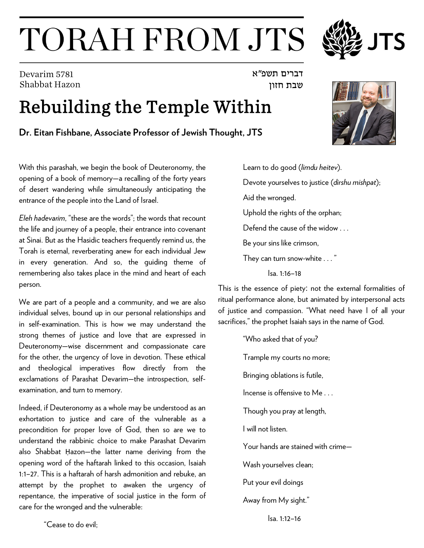## TORAH FROM JTS

Devarim 5781 Shabbat Hazon

## Rebuilding the Temple Within

**Dr. Eitan Fishbane, Associate Professor of Jewish Thought, JTS** 

With this parashah, we begin the book of Deuteronomy, the opening of a book of memory—a recalling of the forty years of desert wandering while simultaneously anticipating the entrance of the people into the Land of Israel.

*Eleh hadevarim*, "these are the words"; the words that recount the life and journey of a people, their entrance into covenant at Sinai. But as the Hasidic teachers frequently remind us, the Torah is eternal, reverberating anew for each individual Jew in every generation. And so, the guiding theme of remembering also takes place in the mind and heart of each person.

We are part of a people and a community, and we are also individual selves, bound up in our personal relationships and in self-examination. This is how we may understand the strong themes of justice and love that are expressed in Deuteronomy—wise discernment and compassionate care for the other, the urgency of love in devotion. These ethical and theological imperatives flow directly from the exclamations of Parashat Devarim*—*the introspection, selfexamination, and turn to memory.

Indeed, if Deuteronomy as a whole may be understood as an exhortation to justice and care of the vulnerable as a precondition for proper love of God, then so are we to understand the rabbinic choice to make Parashat Devarim also Shabbat Ḥazon—the latter name deriving from the opening word of the haftarah linked to this occasion, Isaiah 1:1–27. This is a haftarah of harsh admonition and rebuke, an attempt by the prophet to awaken the urgency of repentance, the imperative of social justice in the form of care for the wronged and the vulnerable:

Learn to do good (*limdu heitev*). Devote yourselves to justice (*dirshu mishpat*); Aid the wronged. Uphold the rights of the orphan; Defend the cause of the widow . . . Be your sins like crimson, They can turn snow-white . . . " Isa. 1:16–18

דברים תשפ" א

שבת חזון

This is the essence of piety: not the external formalities of ritual performance alone, but animated by interpersonal acts of justice and compassion. "What need have I of all your sacrifices," the prophet Isaiah says in the name of God.

> "Who asked that of you? Trample my courts no more; Bringing oblations is futile, Incense is offensive to Me... Though you pray at length, I will not listen. Your hands are stained with crime— Wash yourselves clean; Put your evil doings Away from My sight."



Isa. 1:12–16